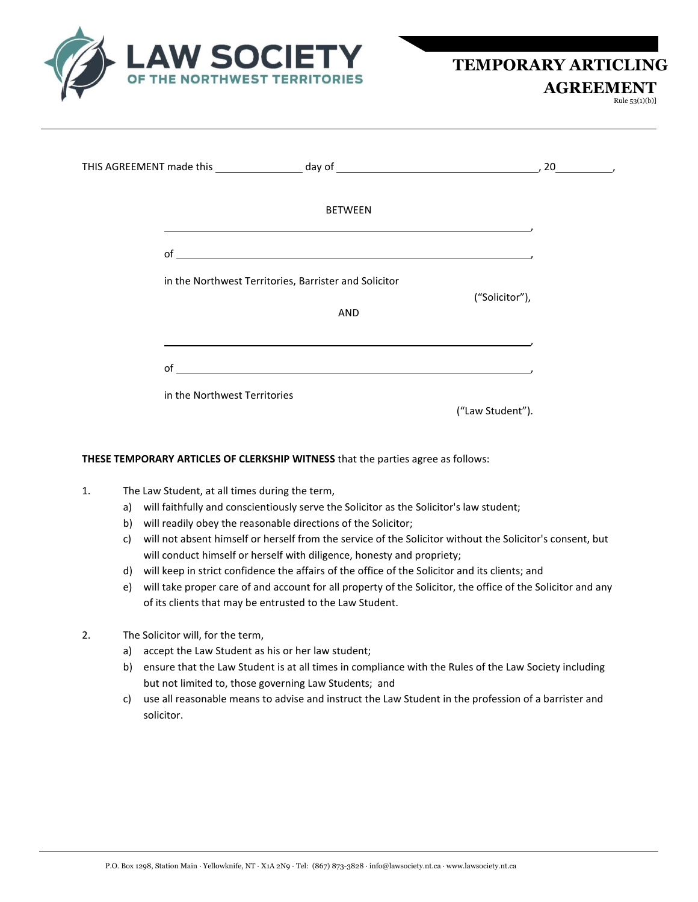

 **AGREEMENT** 

Rule 53(1)(b)]

| THIS AGREEMENT made this _____________________ day of __________________________                                            | $, 20$ , |
|-----------------------------------------------------------------------------------------------------------------------------|----------|
| <b>BETWEEN</b>                                                                                                              |          |
|                                                                                                                             |          |
| in the Northwest Territories, Barrister and Solicitor<br>("Solicitor"),                                                     |          |
| AND                                                                                                                         |          |
| <u> 1989 - Johann Stoff, deutscher Stoffen und der Stoffen und der Stoffen und der Stoffen und der Stoffen und de</u><br>of |          |
| in the Northwest Territories                                                                                                |          |
| ("Law Student").                                                                                                            |          |

## **THESE TEMPORARY ARTICLES OF CLERKSHIP WITNESS** that the parties agree as follows:

- 1. The Law Student, at all times during the term,
	- a) will faithfully and conscientiously serve the Solicitor as the Solicitor's law student;
	- b) will readily obey the reasonable directions of the Solicitor;
	- c) will not absent himself or herself from the service of the Solicitor without the Solicitor's consent, but will conduct himself or herself with diligence, honesty and propriety;
	- d) will keep in strict confidence the affairs of the office of the Solicitor and its clients; and
	- e) will take proper care of and account for all property of the Solicitor, the office of the Solicitor and any of its clients that may be entrusted to the Law Student.
- 2. The Solicitor will, for the term,
	- a) accept the Law Student as his or her law student;
	- b) ensure that the Law Student is at all times in compliance with the Rules of the Law Society including but not limited to, those governing Law Students; and
	- c) use all reasonable means to advise and instruct the Law Student in the profession of a barrister and solicitor.